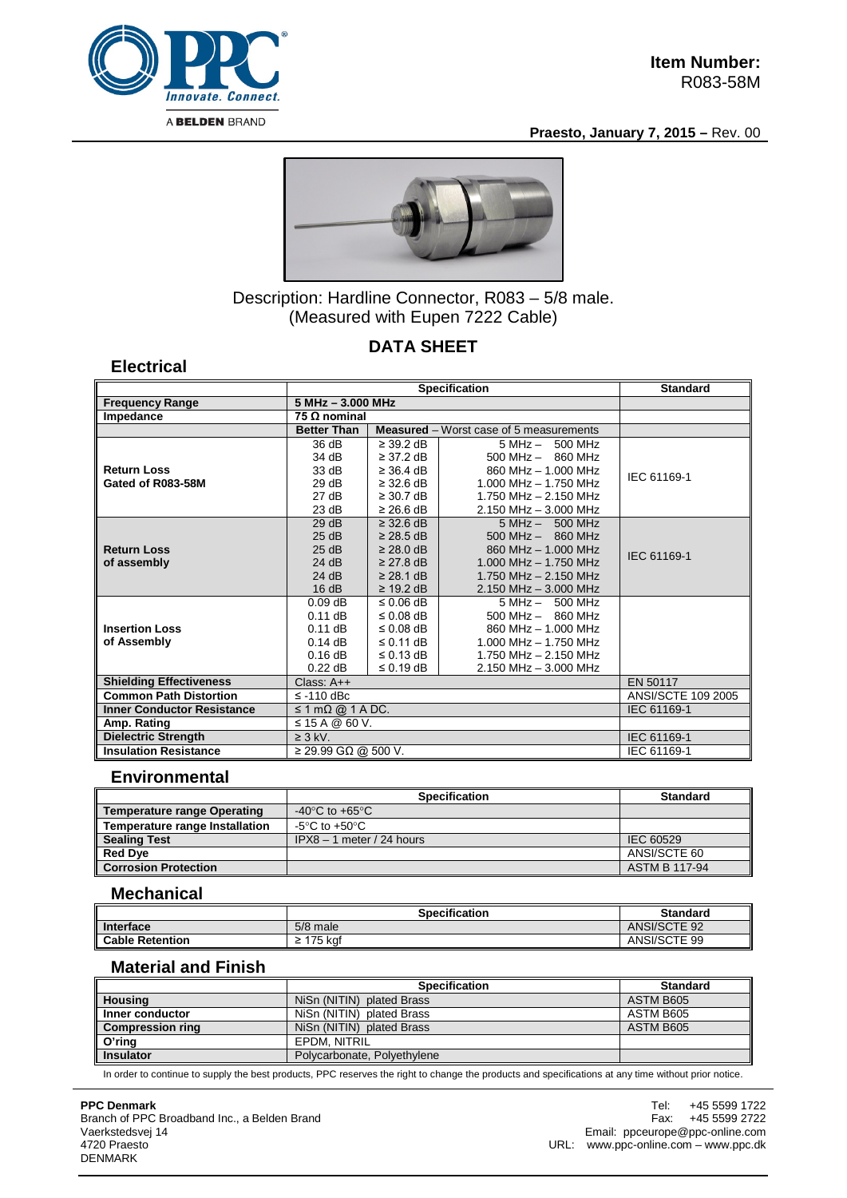

**Electrical**

**Praesto, January 7, 2015 –** Rev. 00



Description: Hardline Connector, R083 – 5/8 male. (Measured with Eupen 7222 Cable)

# **DATA SHEET**

#### **Specification Standard Frequency Range 5 MHz – 3.000 MHz Impedance 75 Ω nominal Measured** – Worst case of 5 measurements **Return Loss Gated of R083-58M**  36 dB 34 dB 33 dB 29 dB 27 dB 23 dB  $\geq$  39.2 dB ≥ 37.2 dB ≥ 36.4 dB ≥ 32.6 dB ≥ 30.7 dB ≥ 26.6 dB 5 MHz – 500 MHz 500 MHz – 860 MHz 860 MHz – 1.000 MHz 1.000 MHz – 1.750 MHz 1.750 MHz – 2.150 MHz 2.150 MHz – 3.000 MHz IEC 61169-1 **Return Loss of assembly** 29 dB 25 dB 25 dB 24 dB 24 dB 16 dB ≥ 32.6 dB ≥ 28.5 dB ≥ 28.0 dB ≥ 27.8 dB ≥ 28.1 dB ≥ 19.2 dB 5 MHz – 500 MHz 500 MHz – 860 MHz 860 MHz – 1.000 MHz 1.000 MHz – 1.750 MHz 1.750 MHz – 2.150 MHz 2.150 MHz – 3.000 MHz IEC 61169-1 **Insertion Loss of Assembly** 0.09 dB 0.11 dB 0.11 dB 0.14 dB 0.16 dB 0.22 dB ≤ 0.06 dB ≤ 0.08 dB ≤ 0.08 dB ≤ 0.11 dB ≤ 0.13 dB ≤ 0.19 dB 5 MHz – 500 MHz 500 MHz – 860 MHz 860 MHz – 1.000 MHz 1.000 MHz – 1.750 MHz 1.750 MHz – 2.150 MHz 2.150 MHz – 3.000 MHz **Shielding Effectiveness** Class: A++ EN 50117<br> **Common Path Distortion** ≤ -110 dBc ANSI/SCTE 109 2005 **Common Path Distortion Inner Conductor Resistance** ≤ 1 mΩ @ 1 A DC. IEC 61169-1<br>Amp. Rating ≤ 15 A @ 60 V. **Amp. Rating** ≤ 15 A @ 60 V. **Dielectric Strength 2 3 kV.** IEC 61169-1 **Insulation Resistance** ≥ 29.99 GΩ @ 500 V. IEC 61169-1

## **Environmental**

|                                       | <b>Specification</b>                 | <b>Standard</b>      |
|---------------------------------------|--------------------------------------|----------------------|
| <b>Temperature range Operating</b>    | -40 $^{\circ}$ C to +65 $^{\circ}$ C |                      |
| <b>Temperature range Installation</b> | -5°C to +50°C                        |                      |
| <b>Sealing Test</b>                   | $IPX8 - 1$ meter / 24 hours          | IEC 60529            |
| Red Dye                               |                                      | ANSI/SCTE 60         |
| <b>Corrosion Protection</b>           |                                      | <b>ASTM B 117-94</b> |

## **Mechanical**

|                        | Specification | <b>Standard</b> |
|------------------------|---------------|-----------------|
| Interface              | 5/8 male      | ANSI/SCTE 92    |
| <b>Cable Retention</b> | 175 kaf<br>-  | ANSI/SCTE 99    |

#### **Material and Finish**

|                         | <b>Specification</b>        | <b>Standard</b> |
|-------------------------|-----------------------------|-----------------|
| <b>Housing</b>          | NiSn (NITIN) plated Brass   | ASTM B605       |
| Inner conductor         | NiSn (NITIN) plated Brass   | ASTM B605       |
| <b>Compression ring</b> | NiSn (NITIN) plated Brass   | ASTM B605       |
| O'ring                  | EPDM, NITRIL                |                 |
| <b>Insulator</b>        | Polycarbonate, Polyethylene |                 |

In order to continue to supply the best products, PPC reserves the right to change the products and specifications at any time without prior notice.

#### **PPC Denmark**

Branch of PPC Broadband Inc., a Belden Brand Vaerkstedsvej 14 4720 Praesto DENMARK